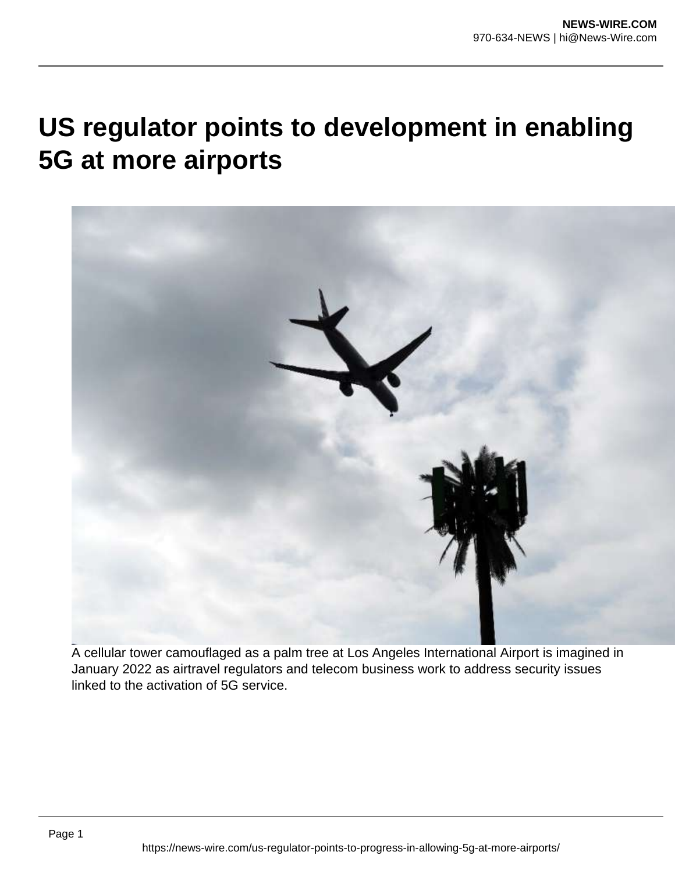## **US regulator points to development in enabling 5G at more airports**



A cellular tower camouflaged as a palm tree at Los Angeles International Airport is imagined in January 2022 as airtravel regulators and telecom business work to address security issues linked to the activation of 5G service.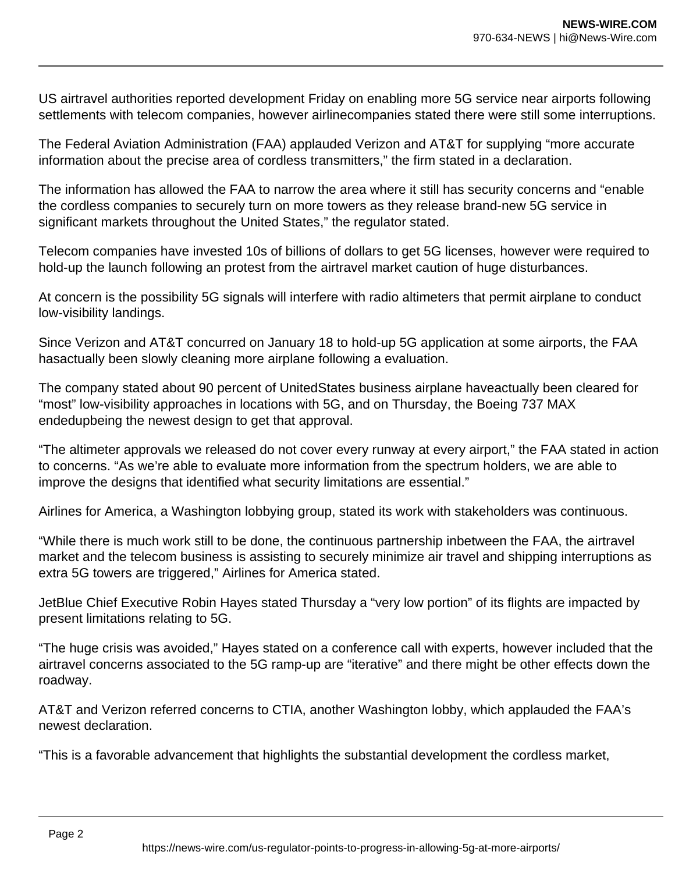US airtravel authorities reported development Friday on enabling more 5G service near airports following settlements with telecom companies, however airlinecompanies stated there were still some interruptions.

The Federal Aviation Administration (FAA) applauded Verizon and AT&T for supplying "more accurate information about the precise area of cordless transmitters," the firm stated in a declaration.

The information has allowed the FAA to narrow the area where it still has security concerns and "enable the cordless companies to securely turn on more towers as they release brand-new 5G service in significant markets throughout the United States," the regulator stated.

Telecom companies have invested 10s of billions of dollars to get 5G licenses, however were required to hold-up the launch following an protest from the airtravel market caution of huge disturbances.

At concern is the possibility 5G signals will interfere with radio altimeters that permit airplane to conduct low-visibility landings.

Since Verizon and AT&T concurred on January 18 to hold-up 5G application at some airports, the FAA hasactually been slowly cleaning more airplane following a evaluation.

The company stated about 90 percent of UnitedStates business airplane haveactually been cleared for "most" low-visibility approaches in locations with 5G, and on Thursday, the Boeing 737 MAX endedupbeing the newest design to get that approval.

"The altimeter approvals we released do not cover every runway at every airport," the FAA stated in action to concerns. "As we're able to evaluate more information from the spectrum holders, we are able to improve the designs that identified what security limitations are essential."

Airlines for America, a Washington lobbying group, stated its work with stakeholders was continuous.

"While there is much work still to be done, the continuous partnership inbetween the FAA, the airtravel market and the telecom business is assisting to securely minimize air travel and shipping interruptions as extra 5G towers are triggered," Airlines for America stated.

JetBlue Chief Executive Robin Hayes stated Thursday a "very low portion" of its flights are impacted by present limitations relating to 5G.

"The huge crisis was avoided," Hayes stated on a conference call with experts, however included that the airtravel concerns associated to the 5G ramp-up are "iterative" and there might be other effects down the roadway.

AT&T and Verizon referred concerns to CTIA, another Washington lobby, which applauded the FAA's newest declaration.

"This is a favorable advancement that highlights the substantial development the cordless market,